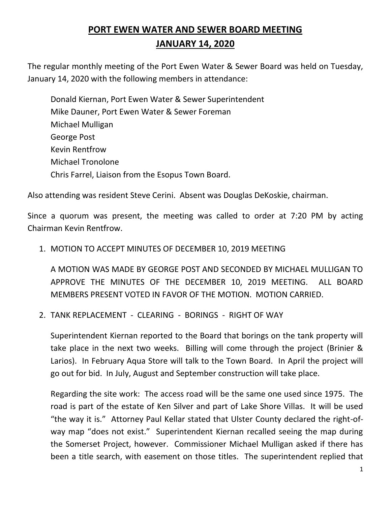# **PORT EWEN WATER AND SEWER BOARD MEETING JANUARY 14, 2020**

The regular monthly meeting of the Port Ewen Water & Sewer Board was held on Tuesday, January 14, 2020 with the following members in attendance:

Donald Kiernan, Port Ewen Water & Sewer Superintendent Mike Dauner, Port Ewen Water & Sewer Foreman Michael Mulligan George Post Kevin Rentfrow Michael Tronolone Chris Farrel, Liaison from the Esopus Town Board.

Also attending was resident Steve Cerini. Absent was Douglas DeKoskie, chairman.

Since a quorum was present, the meeting was called to order at 7:20 PM by acting Chairman Kevin Rentfrow.

#### 1. MOTION TO ACCEPT MINUTES OF DECEMBER 10, 2019 MEETING

A MOTION WAS MADE BY GEORGE POST AND SECONDED BY MICHAEL MULLIGAN TO APPROVE THE MINUTES OF THE DECEMBER 10, 2019 MEETING. ALL BOARD MEMBERS PRESENT VOTED IN FAVOR OF THE MOTION. MOTION CARRIED.

#### 2. TANK REPLACEMENT - CLEARING - BORINGS - RIGHT OF WAY

Superintendent Kiernan reported to the Board that borings on the tank property will take place in the next two weeks. Billing will come through the project (Brinier & Larios). In February Aqua Store will talk to the Town Board. In April the project will go out for bid. In July, August and September construction will take place.

Regarding the site work: The access road will be the same one used since 1975. The road is part of the estate of Ken Silver and part of Lake Shore Villas. It will be used "the way it is." Attorney Paul Kellar stated that Ulster County declared the right-ofway map "does not exist." Superintendent Kiernan recalled seeing the map during the Somerset Project, however. Commissioner Michael Mulligan asked if there has been a title search, with easement on those titles. The superintendent replied that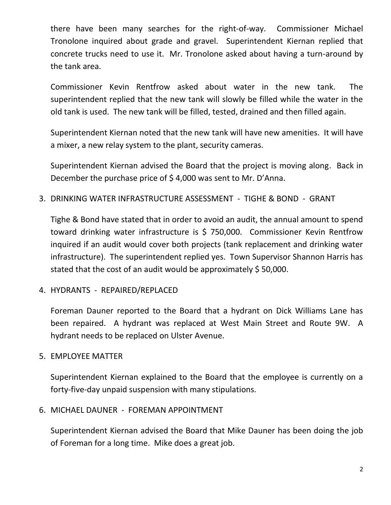there have been many searches for the right-of-way. Commissioner Michael Tronolone inquired about grade and gravel. Superintendent Kiernan replied that concrete trucks need to use it. Mr. Tronolone asked about having a turn-around by the tank area.

Commissioner Kevin Rentfrow asked about water in the new tank. The superintendent replied that the new tank will slowly be filled while the water in the old tank is used. The new tank will be filled, tested, drained and then filled again.

Superintendent Kiernan noted that the new tank will have new amenities. It will have a mixer, a new relay system to the plant, security cameras.

Superintendent Kiernan advised the Board that the project is moving along. Back in December the purchase price of \$ 4,000 was sent to Mr. D'Anna.

3. DRINKING WATER INFRASTRUCTURE ASSESSMENT - TIGHE & BOND - GRANT

Tighe & Bond have stated that in order to avoid an audit, the annual amount to spend toward drinking water infrastructure is \$ 750,000. Commissioner Kevin Rentfrow inquired if an audit would cover both projects (tank replacement and drinking water infrastructure). The superintendent replied yes. Town Supervisor Shannon Harris has stated that the cost of an audit would be approximately \$ 50,000.

4. HYDRANTS - REPAIRED/REPLACED

Foreman Dauner reported to the Board that a hydrant on Dick Williams Lane has been repaired. A hydrant was replaced at West Main Street and Route 9W. A hydrant needs to be replaced on Ulster Avenue.

5. EMPLOYEE MATTER

Superintendent Kiernan explained to the Board that the employee is currently on a forty-five-day unpaid suspension with many stipulations.

6. MICHAEL DAUNER - FOREMAN APPOINTMENT

Superintendent Kiernan advised the Board that Mike Dauner has been doing the job of Foreman for a long time. Mike does a great job.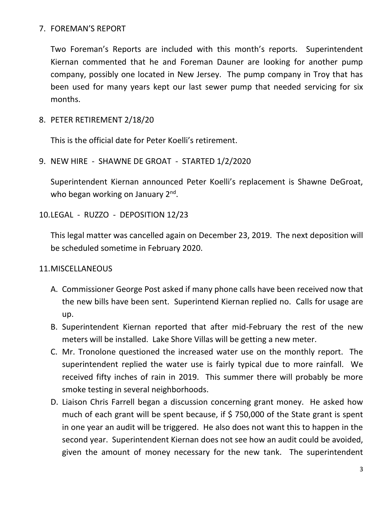## 7. FOREMAN'S REPORT

Two Foreman's Reports are included with this month's reports. Superintendent Kiernan commented that he and Foreman Dauner are looking for another pump company, possibly one located in New Jersey. The pump company in Troy that has been used for many years kept our last sewer pump that needed servicing for six months.

8. PETER RETIREMENT 2/18/20

This is the official date for Peter Koelli's retirement.

9. NEW HIRE - SHAWNE DE GROAT - STARTED 1/2/2020

Superintendent Kiernan announced Peter Koelli's replacement is Shawne DeGroat, who began working on January 2<sup>nd</sup>.

# 10.LEGAL - RUZZO - DEPOSITION 12/23

This legal matter was cancelled again on December 23, 2019. The next deposition will be scheduled sometime in February 2020.

# 11.MISCELLANEOUS

- A. Commissioner George Post asked if many phone calls have been received now that the new bills have been sent. Superintend Kiernan replied no. Calls for usage are up.
- B. Superintendent Kiernan reported that after mid-February the rest of the new meters will be installed. Lake Shore Villas will be getting a new meter.
- C. Mr. Tronolone questioned the increased water use on the monthly report. The superintendent replied the water use is fairly typical due to more rainfall. We received fifty inches of rain in 2019. This summer there will probably be more smoke testing in several neighborhoods.
- D. Liaison Chris Farrell began a discussion concerning grant money. He asked how much of each grant will be spent because, if \$750,000 of the State grant is spent in one year an audit will be triggered. He also does not want this to happen in the second year. Superintendent Kiernan does not see how an audit could be avoided, given the amount of money necessary for the new tank. The superintendent